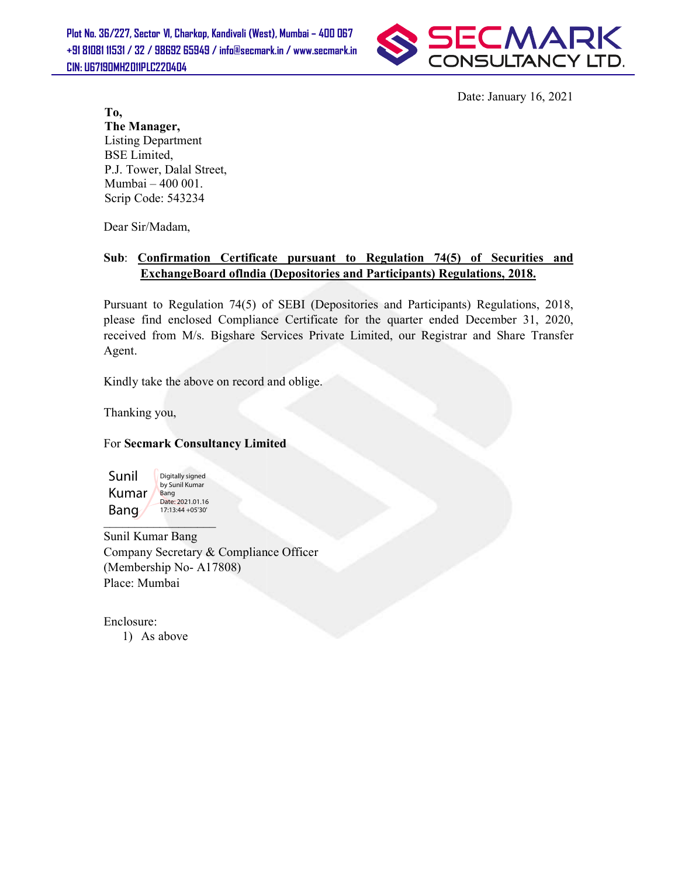Plot No. 36/227, Sector VI, Charkop, Kandivali (West), Mumbai – 400 067 +91 81081 11531 / 32 / 98692 65949 / info@secmark.in / www.secmark.in / CIN: U67190MH2011PLC220404



Date: January 16, 2021

To, The Manager, Listing Department BSE Limited, P.J. Tower, Dalal Street, Mumbai – 400 001. Scrip Code: 543234

Dear Sir/Madam,

## Sub: <u>Confirmation Certificate pursuant to Regulation 74(5) of Securities and</u><br>ExchangeBoard ofIndia (Depositories and Participants) Regulations, 2018. ExchangeBoard oflndia (Depositories and Participants) Regulations, 2018

Pursuant to Regulation 74(5) of SEBI (Depositories and Participants) Regulations, 2018, Pursuant to Regulation 74(5) of SEBI (Depositories and Participants) Regulations, 2018,<br>please find enclosed Compliance Certificate for the quarter ended December 31, 2020, received from M/s. Bigshare Services Private Limited, our Registrar and Share Transfer<br>Agent.<br>Kindly take the above on record and oblige. Agent. Date: January 16, 2021<br>
Freet,<br>
treet,<br> **under Contrigue Terms and the Contribution of the Contribution 14(5)**<br> **under of the contribution of the Contribution of the Contribution of the Contribution 2018**,<br>
Explations, 201

Kindly take the above on record and oblige.

Thanking you,

## For Secmark Consultancy Limited

Sunil Kumar Bang Digitally signed by Sunil Kumar Bang Date: 2021.01.16 17:13:44 +05'30'

Sunil Kumar Bang Company Secretary & Compliance Officer (Membership No- A17808) Place: Mumbai

Enclosure: 1) As above